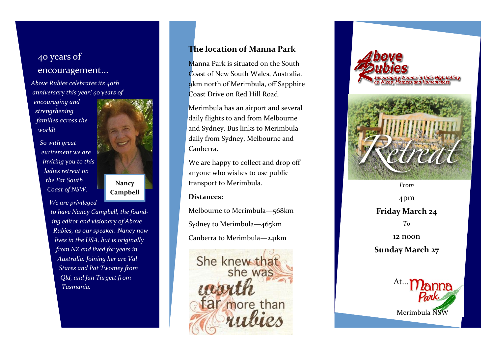# 40 years of encouragement...

*Above Rubies celebrates its 40th anniversary this year! 40 years of* 

*encouraging and strengthening families across the world!* 

> *So with great excitement we are inviting you to this ladies retreat on the Far South Coast of NSW.*

**Nancy Campbell**

*We are privileged* 

*to have Nancy Campbell, the founding editor and visionary of Above Rubies, as our speaker. Nancy now lives in the USA, but is originally from NZ and lived for years in Australia. Joining her are Val Stares and Pat Twomey from Qld, and Jan Targett from Tasmania.*

## **The location of Manna Park**

Manna Park is situated on the South Coast of New South Wales, Australia. 9km north of Merimbula, off Sapphire Coast Drive on Red Hill Road.

Merimbula has an airport and several daily flights to and from Melbourne and Sydney. Bus links to Merimbula daily from Sydney, Melbourne and Canberra.

We are happy to collect and drop off anyone who wishes to use public transport to Merimbula.

### **Distances:**

Melbourne to Merimbula —568km Sydney to Merimbula —465km Canberra to Merimbula —241km





*From*

4pm **Friday March 24** *To*  12 noon **Sunday March 27**

At... Merimbula NSW